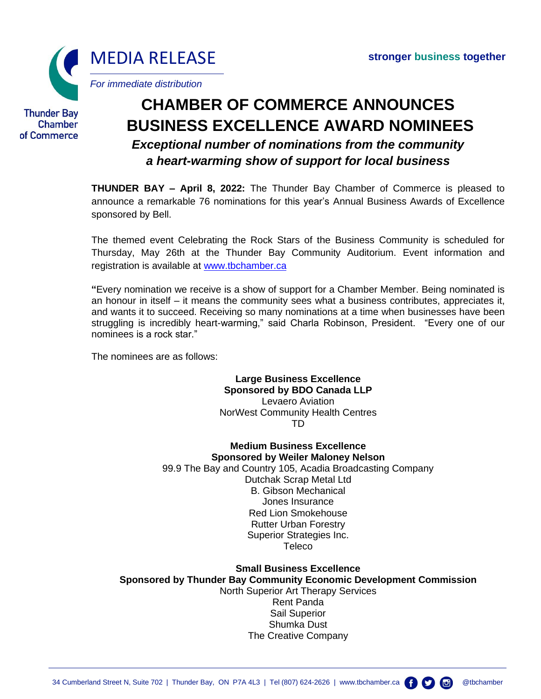

**Thunder Bay** Chamber of Commerce

# **CHAMBER OF COMMERCE ANNOUNCES BUSINESS EXCELLENCE AWARD NOMINEES**

# *Exceptional number of nominations from the community a heart-warming show of support for local business*

**THUNDER BAY – April 8, 2022:** The Thunder Bay Chamber of Commerce is pleased to announce a remarkable 76 nominations for this year's Annual Business Awards of Excellence sponsored by Bell.

The themed event Celebrating the Rock Stars of the Business Community is scheduled for Thursday, May 26th at the Thunder Bay Community Auditorium. Event information and registration is available at [www.tbchamber.ca](http://www.tbchamber.ca/)

**"**Every nomination we receive is a show of support for a Chamber Member. Being nominated is an honour in itself – it means the community sees what a business contributes, appreciates it, and wants it to succeed. Receiving so many nominations at a time when businesses have been struggling is incredibly heart-warming," said Charla Robinson, President. "Every one of our nominees is a rock star."

The nominees are as follows:

**Large Business Excellence Sponsored by BDO Canada LLP** Levaero Aviation NorWest Community Health Centres TD

**Medium Business Excellence Sponsored by Weiler Maloney Nelson** 99.9 The Bay and Country 105, Acadia Broadcasting Company Dutchak Scrap Metal Ltd B. Gibson Mechanical Jones Insurance Red Lion Smokehouse Rutter Urban Forestry Superior Strategies Inc. **Teleco** 

**Small Business Excellence Sponsored by Thunder Bay Community Economic Development Commission** North Superior Art Therapy Services Rent Panda Sail Superior Shumka Dust The Creative Company

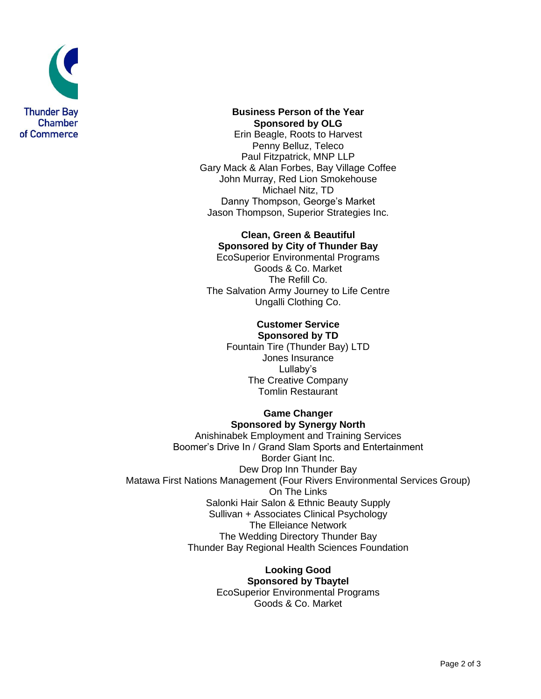

**Business Person of the Year Sponsored by OLG** Erin Beagle, Roots to Harvest Penny Belluz, Teleco

Paul Fitzpatrick, MNP LLP Gary Mack & Alan Forbes, Bay Village Coffee John Murray, Red Lion Smokehouse Michael Nitz, TD Danny Thompson, George's Market Jason Thompson, Superior Strategies Inc.

# **Clean, Green & Beautiful Sponsored by City of Thunder Bay**

EcoSuperior Environmental Programs Goods & Co. Market The Refill Co. The Salvation Army Journey to Life Centre Ungalli Clothing Co.

#### **Customer Service Sponsored by TD**

Fountain Tire (Thunder Bay) LTD Jones Insurance Lullaby's The Creative Company Tomlin Restaurant

#### **Game Changer Sponsored by Synergy North**

Anishinabek Employment and Training Services Boomer's Drive In / Grand Slam Sports and Entertainment Border Giant Inc. Dew Drop Inn Thunder Bay Matawa First Nations Management (Four Rivers Environmental Services Group) On The Links Salonki Hair Salon & Ethnic Beauty Supply Sullivan + Associates Clinical Psychology The Elleiance Network The Wedding Directory Thunder Bay Thunder Bay Regional Health Sciences Foundation

#### **Looking Good Sponsored by Tbaytel**

EcoSuperior Environmental Programs Goods & Co. Market